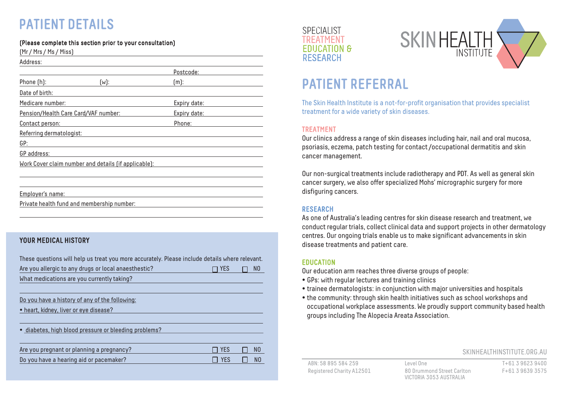# PATIENT DETAILS

### (Please complete this section prior to your consultation)

(Mr / Mrs / Ms / Miss)

| Address:                             |                                                      |              |  |
|--------------------------------------|------------------------------------------------------|--------------|--|
|                                      |                                                      | Postcode:    |  |
| Phone (h):                           | $(w)$ :                                              | $[m]$ :      |  |
| Date of birth:                       |                                                      |              |  |
| Medicare number:                     |                                                      | Expiry date: |  |
| Pension/Health Care Card/VAF number: |                                                      | Expiry date: |  |
| Contact person:                      |                                                      | Phone:       |  |
| Referring dermatologist:             |                                                      |              |  |
| GP:                                  |                                                      |              |  |
| GP address:                          |                                                      |              |  |
|                                      | Work Cover claim number and details (if applicable): |              |  |
|                                      |                                                      |              |  |
|                                      |                                                      |              |  |

Employer's name:

Private health fund and membership number:

## YOUR MEDICAL HISTORY

| These questions will help us treat you more accurately. Please include details where relevant. | <b>EDUCATION</b>                                                               |  |
|------------------------------------------------------------------------------------------------|--------------------------------------------------------------------------------|--|
| Are you allergic to any drugs or local anaesthestic?                                           | Our education arm reaches three diverse groups of people:                      |  |
| NO.                                                                                            | • GPs: with regular lectures and training clinics                              |  |
| TI YES                                                                                         | • trainee dermatologists: in conjunction with major universities and hospitals |  |
| What medications are you currently taking?                                                     | . the community: through skin health initiatives such as school workshops and  |  |
| Do you have a history of any of the following:                                                 | occupational workplace assessments. We proudly support community based health  |  |
| • heart, kidney, liver or eye disease?                                                         | groups including The Alopecia Areata Association.                              |  |
| · diabetes, high blood pressure or bleeding problems?                                          |                                                                                |  |
| Are you pregnant or planning a pregnancy?<br>$\Box$ yes<br>NO.                                 | SKINHEALTHINSTITUTE.ORG.AU                                                     |  |
| Do you have a hearing aid or pacemaker?                                                        | T+61 3 9623 9400                                                               |  |
| $\Box$ YES                                                                                     | ABN: 58 895 584 259                                                            |  |
| N <sub>0</sub>                                                                                 | Level One                                                                      |  |





# PATIENT REFERRAL

The Skin Health Institute is a not-for-profit organisation that provides specialist treatment for a wide variety of skin diseases.

### TREATMENT

Our clinics address a range of skin diseases including hair, nail and oral mucosa, psoriasis, eczema, patch testing for contact /occupational dermatitis and skin cancer management.

Our non-surgical treatments include radiotherapy and PDT. As well as general skin cancer surgery, we also offer specialized Mohs' micrographic surgery for more disfiguring cancers.

### RESEARCH

As one of Australia's leading centres for skin disease research and treatment, we conduct regular trials, collect clinical data and support projects in other dermatology centres. Our ongoing trials enable us to make significant advancements in skin disease treatments and patient care.

### **EDUCATION**

- GPs: with regular lectures and training clinics
- trainee dermatologists: in conjunction with major universities and hospitals
- the community: through skin health initiatives such as school workshops and occupational workplace assessments. We proudly support community based health groups including The Alopecia Areata Association.

#### SKINHEALTHINSTITUTE.ORG.AU

Registered Charity A12501 80 Drummond Street Carlton F+61 3 9639 3575

VICTORIA 3053 AUSTRALIA